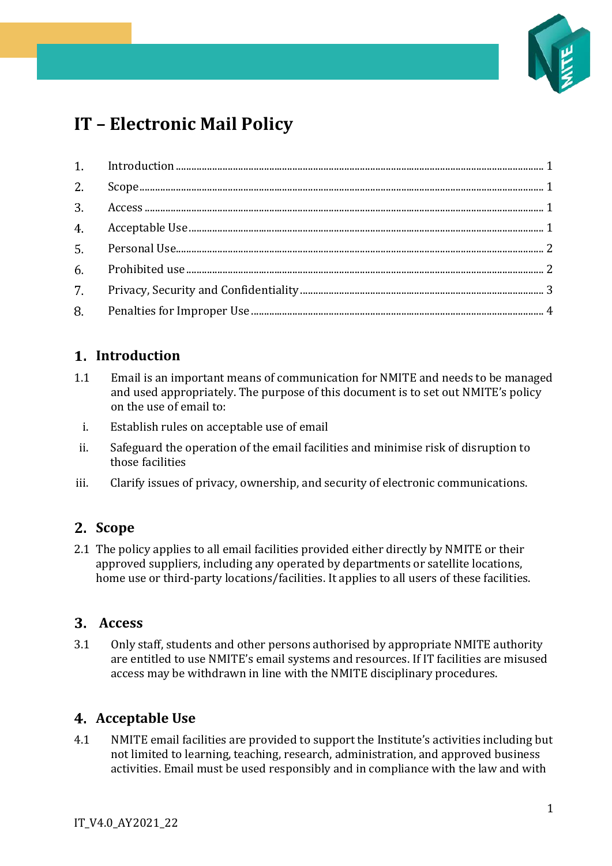

# **IT – Electronic Mail Policy**

### <span id="page-0-0"></span>**Introduction**

- 1.1 Email is an important means of communication for NMITE and needs to be managed and used appropriately. The purpose of this document is to set out NMITE's policy on the use of email to:
	- i. Establish rules on acceptable use of email
- ii. Safeguard the operation of the email facilities and minimise risk of disruption to those facilities
- iii. Clarify issues of privacy, ownership, and security of electronic communications.

### <span id="page-0-1"></span>**Scope**

2.1 The policy applies to all email facilities provided either directly by NMITE or their approved suppliers, including any operated by departments or satellite locations, home use or third-party locations/facilities. It applies to all users of these facilities.

#### <span id="page-0-2"></span>**Access**

3.1 Only staff, students and other persons authorised by appropriate NMITE authority are entitled to use NMITE's email systems and resources. If IT facilities are misused access may be withdrawn in line with the NMITE disciplinary procedures.

### <span id="page-0-3"></span>**Acceptable Use**

4.1 NMITE email facilities are provided to support the Institute's activities including but not limited to learning, teaching, research, administration, and approved business activities. Email must be used responsibly and in compliance with the law and with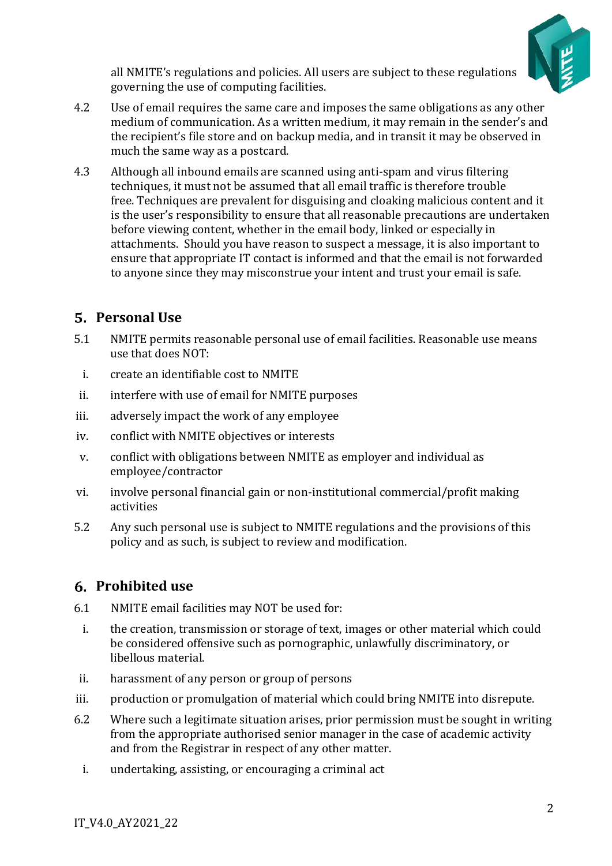

all NMITE's regulations and policies. All users are subject to these regulations governing the use of computing facilities.

- 4.2 Use of email requires the same care and imposes the same obligations as any other medium of communication. As a written medium, it may remain in the sender's and the recipient's file store and on backup media, and in transit it may be observed in much the same way as a postcard.
- 4.3 Although all inbound emails are scanned using anti-spam and virus filtering techniques, it must not be assumed that all email traffic is therefore trouble free. Techniques are prevalent for disguising and cloaking malicious content and it is the user's responsibility to ensure that all reasonable precautions are undertaken before viewing content, whether in the email body, linked or especially in attachments. Should you have reason to suspect a message, it is also important to ensure that appropriate IT contact is informed and that the email is not forwarded to anyone since they may misconstrue your intent and trust your email is safe.

# <span id="page-1-0"></span>**Personal Use**

- 5.1 NMITE permits reasonable personal use of email facilities. Reasonable use means use that does NOT:
- i. create an identifiable cost to NMITE
- ii. interfere with use of email for NMITE purposes
- iii. adversely impact the work of any employee
- iv. conflict with NMITE objectives or interests
- v. conflict with obligations between NMITE as employer and individual as employee/contractor
- vi. involve personal financial gain or non-institutional commercial/profit making activities
- 5.2 Any such personal use is subject to NMITE regulations and the provisions of this policy and as such, is subject to review and modification.

### <span id="page-1-1"></span>**Prohibited use**

- 6.1 NMITE email facilities may NOT be used for:
- i. the creation, transmission or storage of text, images or other material which could be considered offensive such as pornographic, unlawfully discriminatory, or libellous material.
- ii. harassment of any person or group of persons
- iii. production or promulgation of material which could bring NMITE into disrepute.
- 6.2 Where such a legitimate situation arises, prior permission must be sought in writing from the appropriate authorised senior manager in the case of academic activity and from the Registrar in respect of any other matter.
	- i. undertaking, assisting, or encouraging a criminal act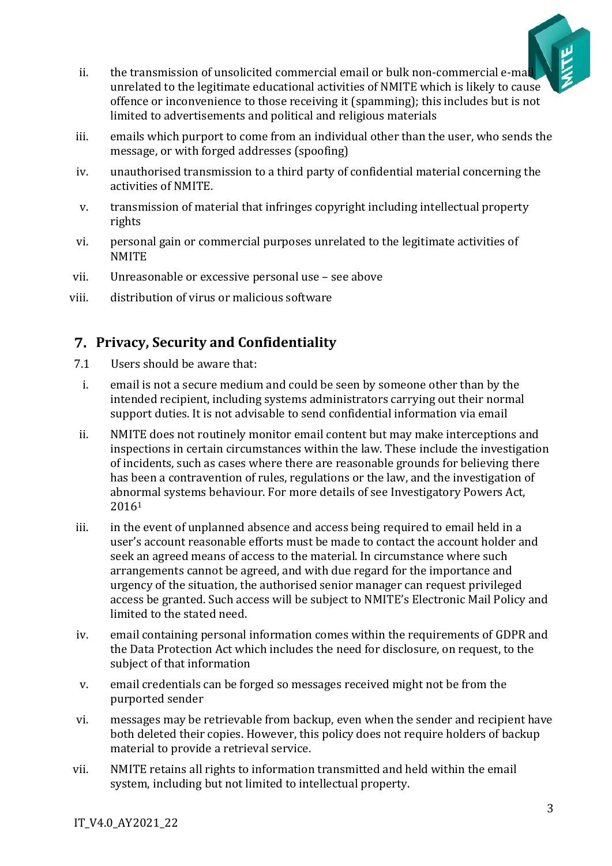

- ii. the transmission of unsolicited commercial email or bulk non-commercial e-mail unrelated to the legitimate educational activities of NMITE which is likely to cause offence or inconvenience to those receiving it (spamming); this includes but is not limited to advertisements and political and religious materials
- iii. emails which purport to come from an individual other than the user, who sends the message, or with forged addresses (spoofing)
- iv. unauthorised transmission to a third party of confidential material concerning the activities of NMITE.
- v. transmission of material that infringes copyright including intellectual property rights
- vi. personal gain or commercial purposes unrelated to the legitimate activities of **NMITE**
- vii. Unreasonable or excessive personal use see above
- viii. distribution of virus or malicious software

# <span id="page-2-0"></span>**Privacy, Security and Confidentiality**

- 7.1 Users should be aware that:
- i. email is not a secure medium and could be seen by someone other than by the intended recipient, including systems administrators carrying out their normal support duties. It is not advisable to send confidential information via email
- ii. NMITE does not routinely monitor email content but may make interceptions and inspections in certain circumstances within the law. These include the investigation of incidents, such as cases where there are reasonable grounds for believing there has been a contravention of rules, regulations or the law, and the investigation of abnormal systems behaviour. For more details of see Investigatory Powers Act, 2016<sup>1</sup>
- iii. in the event of unplanned absence and access being required to email held in a user's account reasonable efforts must be made to contact the account holder and seek an agreed means of access to the material. In circumstance where such arrangements cannot be agreed, and with due regard for the importance and urgency of the situation, the authorised senior manager can request privileged access be granted. Such access will be subject to NMITE's Electronic Mail Policy and limited to the stated need.
- iv. email containing personal information comes within the requirements of GDPR and the Data Protection Act which includes the need for disclosure, on request, to the subject of that information
- v. email credentials can be forged so messages received might not be from the purported sender
- vi. messages may be retrievable from backup, even when the sender and recipient have both deleted their copies. However, this policy does not require holders of backup material to provide a retrieval service.
- vii. NMITE retains all rights to information transmitted and held within the email system, including but not limited to intellectual property.